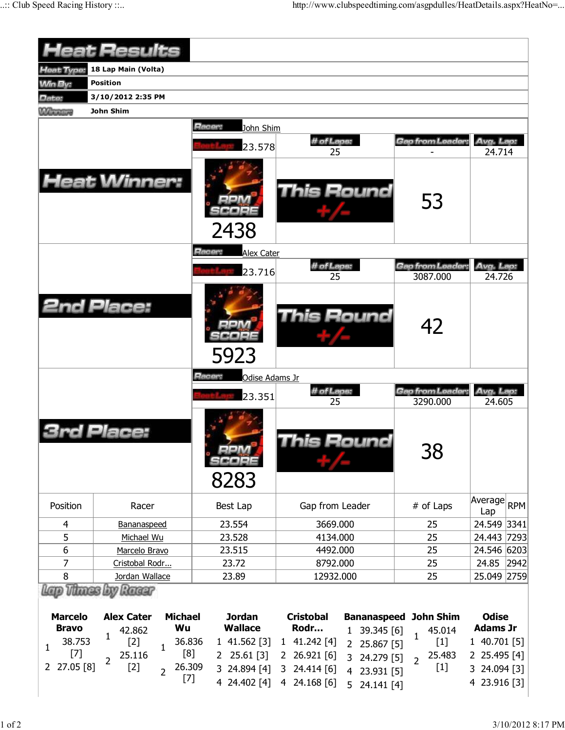|                                | <b>Heat Results</b>                                 |                                 |                                                                              |                                                     |                                 |  |  |  |  |
|--------------------------------|-----------------------------------------------------|---------------------------------|------------------------------------------------------------------------------|-----------------------------------------------------|---------------------------------|--|--|--|--|
| Heat Type:                     | 18 Lap Main (Volta)                                 |                                 |                                                                              |                                                     |                                 |  |  |  |  |
| <b>Win By:</b>                 | <b>Position</b>                                     |                                 |                                                                              |                                                     |                                 |  |  |  |  |
| Date:                          | 3/10/2012 2:35 PM                                   |                                 |                                                                              |                                                     |                                 |  |  |  |  |
| <b>MAINTENNIS</b>              | John Shim                                           |                                 |                                                                              |                                                     |                                 |  |  |  |  |
|                                |                                                     | Racer:<br>John Shim<br>23.578   | # of Laps:                                                                   | Gap from Leader:                                    | Avg. Lap:                       |  |  |  |  |
|                                | <b>Heat Winner:</b>                                 | 2438                            | 25<br><b>This Round</b>                                                      | 53                                                  | 24.714                          |  |  |  |  |
|                                |                                                     | Racer:<br><b>Alex Cater</b>     |                                                                              |                                                     |                                 |  |  |  |  |
|                                |                                                     | 23.716                          | # of Laps:<br>25                                                             | Gap from Leader.<br>3087.000                        | Avg. Lap:<br>24.726             |  |  |  |  |
|                                | <b>2nd Place:</b>                                   | 5923                            | <b>This Round</b>                                                            | 42                                                  |                                 |  |  |  |  |
|                                |                                                     | Racer:<br>Odise Adams Jr        |                                                                              |                                                     |                                 |  |  |  |  |
|                                |                                                     | 23.351                          | # of Laps:<br>25                                                             | Gap from Leader:<br>Avg. Lap:<br>3290.000<br>24.605 |                                 |  |  |  |  |
|                                | Place:                                              | 8283                            | his Round                                                                    | 38                                                  |                                 |  |  |  |  |
|                                |                                                     |                                 |                                                                              |                                                     |                                 |  |  |  |  |
| Position                       | Racer                                               | Best Lap                        | Gap from Leader                                                              | # of Laps                                           | Average<br>$ R$ PM $ $<br>Lap   |  |  |  |  |
| 4                              | Bananaspeed                                         | 23.554                          | 3669.000                                                                     | 25                                                  | 24.549 3341                     |  |  |  |  |
| 5                              | Michael Wu                                          | 23.528                          | 4134.000                                                                     | 25                                                  | 24.443 7293                     |  |  |  |  |
| 6                              | Marcelo Bravo                                       | 23.515                          | 4492.000                                                                     | 25                                                  | 24.546 6203                     |  |  |  |  |
| $\overline{7}$                 | Cristobal Rodr                                      | 23.72                           | 8792.000                                                                     | 25                                                  | 24.85<br>2942                   |  |  |  |  |
| 8                              | Jordan Wallace                                      | 23.89                           | 12932.000                                                                    | 25                                                  | 25.049 2759                     |  |  |  |  |
| Vilunas                        | live Ranger                                         |                                 |                                                                              |                                                     |                                 |  |  |  |  |
| <b>Marcelo</b><br><b>Bravo</b> | <b>Alex Cater</b><br><b>Michael</b><br>Wu<br>42.862 | <b>Jordan</b><br><b>Wallace</b> | <b>Cristobal</b><br><b>Bananaspeed</b><br>Rodr<br>39.345 [6]<br>$\mathbf{1}$ | <b>John Shim</b><br>45.014                          | <b>Odise</b><br><b>Adams Jr</b> |  |  |  |  |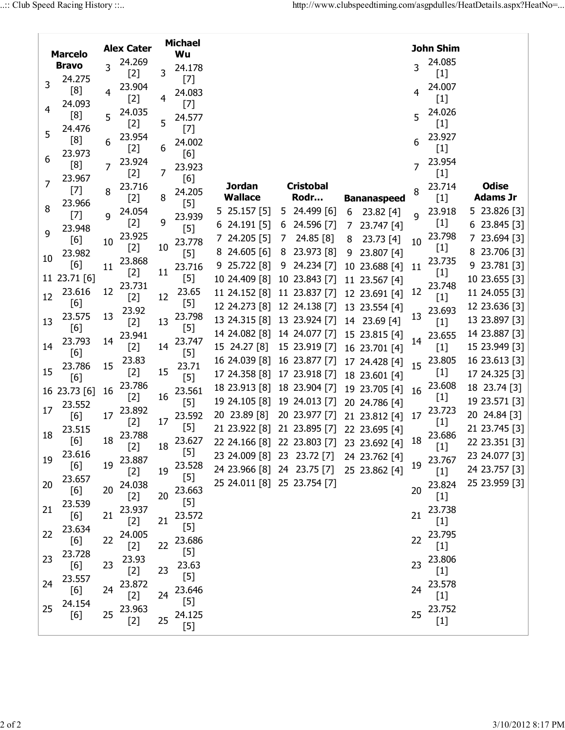|                                     |                                                                                                                                                                                                                                                                                                                                                                                                                                                                                                        |    |        |    | <b>Michael</b> |                                           |   |                  |   |                    |                | John Shim |                 |
|-------------------------------------|--------------------------------------------------------------------------------------------------------------------------------------------------------------------------------------------------------------------------------------------------------------------------------------------------------------------------------------------------------------------------------------------------------------------------------------------------------------------------------------------------------|----|--------|----|----------------|-------------------------------------------|---|------------------|---|--------------------|----------------|-----------|-----------------|
| <b>Alex Cater</b><br><b>Marcelo</b> |                                                                                                                                                                                                                                                                                                                                                                                                                                                                                                        |    |        | Wu |                |                                           |   |                  |   |                    |                |           |                 |
|                                     | <b>Bravo</b>                                                                                                                                                                                                                                                                                                                                                                                                                                                                                           | 3  | 24.269 |    | 24.178         |                                           |   |                  |   |                    | 3              | 24.085    |                 |
|                                     | 24.275                                                                                                                                                                                                                                                                                                                                                                                                                                                                                                 |    | $[2]$  | 3  | $[7]$          |                                           |   |                  |   |                    |                | $[1]$     |                 |
| 3                                   | [8]                                                                                                                                                                                                                                                                                                                                                                                                                                                                                                    | 4  | 23.904 |    | 24.083         |                                           |   |                  |   |                    | 4              | 24.007    |                 |
|                                     | 24.093                                                                                                                                                                                                                                                                                                                                                                                                                                                                                                 |    | $[2]$  | 4  | $[7]$          |                                           |   |                  |   |                    |                | $[1]$     |                 |
| 4                                   | [8]                                                                                                                                                                                                                                                                                                                                                                                                                                                                                                    | 5  | 24.035 |    | 24.577         |                                           |   |                  |   |                    | 5              | 24.026    |                 |
|                                     | 24.476                                                                                                                                                                                                                                                                                                                                                                                                                                                                                                 |    | $[2]$  | 5  | $[7]$          |                                           |   |                  |   |                    |                | $[1]$     |                 |
| 5                                   | [8]                                                                                                                                                                                                                                                                                                                                                                                                                                                                                                    | 6  | 23.954 |    |                |                                           |   |                  |   |                    | 6              | 23.927    |                 |
|                                     |                                                                                                                                                                                                                                                                                                                                                                                                                                                                                                        |    | $[2]$  | 6  | 24.002         |                                           |   |                  |   |                    |                | $[1]$     |                 |
| 6                                   | 23.973<br>[8]                                                                                                                                                                                                                                                                                                                                                                                                                                                                                          |    | 23.924 |    | [6]            |                                           |   |                  |   |                    |                | 23.954    |                 |
|                                     |                                                                                                                                                                                                                                                                                                                                                                                                                                                                                                        | 7  | $[2]$  | 7  | 23.923         |                                           |   |                  |   |                    | 7              | $[1]$     |                 |
| 7                                   | 23.967                                                                                                                                                                                                                                                                                                                                                                                                                                                                                                 |    | 23.716 |    | [6]            | <b>Jordan</b>                             |   | <b>Cristobal</b> |   |                    |                | 23.714    | <b>Odise</b>    |
|                                     | $[7]$                                                                                                                                                                                                                                                                                                                                                                                                                                                                                                  | 8  | $[2]$  | 8  | 24.205         | <b>Wallace</b>                            |   | Rodr             |   | <b>Bananaspeed</b> | 8              | $[1]$     | <b>Adams Jr</b> |
| 8                                   | 23.966                                                                                                                                                                                                                                                                                                                                                                                                                                                                                                 |    | 24.054 |    | $[5]$          | $5\;25.157\;[5]$                          |   | 5 24.499 [6]     | 6 | 23.82[4]           |                | 23.918    | 5 23.826 [3]    |
|                                     | $[7] \centering% \includegraphics[width=1\textwidth]{images/TransY.pdf} \caption{The first two different values of $d=3$ and $d=4$ (left) and $d=5$ (right) and $d=6$ (right) and $d=6$ (right) and $d=6$ (right) and $d=6$ (right) and $d=6$ (right) and $d=6$ (right) and $d=6$ (right) and $d=6$ (right) and $d=6$ (right) and $d=6$ (right) and $d=6$ (right) and $d=6$ (right) and $d=6$ (right) and $d=6$ (right) and $d=6$ (right) and $d=6$ (right) and $d=6$ (right) and $d=6$ (right) and $$ | 9  | $[2]$  | 9  | 23.939         |                                           |   | 24.596 [7]       |   |                    | $\overline{q}$ | $[1]$     |                 |
| 9                                   | 23.948                                                                                                                                                                                                                                                                                                                                                                                                                                                                                                 |    | 23.925 |    | $[5]$          | $6$ 24.191 [5]                            | 6 |                  | 7 | 23.747 [4]         |                | 23.798    | $6$ 23.845 [3]  |
|                                     | [6]                                                                                                                                                                                                                                                                                                                                                                                                                                                                                                    | 10 |        | 10 | 23.778         | 24.205 [5]                                | 7 | 24.85 [8]        | 8 | 23.73 [4]          | 10             |           | 7 23.694 [3]    |
| 10                                  | 23.982                                                                                                                                                                                                                                                                                                                                                                                                                                                                                                 |    | $[2]$  |    | $[5]$          | $24.605$ [6]                              | 8 | 23.973 [8]       | 9 | 23.807 [4]         |                | $[1]$     | 8 23.706 [3]    |
|                                     | [6]                                                                                                                                                                                                                                                                                                                                                                                                                                                                                                    | 11 | 23.868 |    | 23.716         | $9$ 25.722 [8]                            | 9 | 24.234 [7]       |   | 10 23.688 [4]      | 11             | 23.735    | 9 23.781 [3]    |
|                                     | 11 23.71 [6]                                                                                                                                                                                                                                                                                                                                                                                                                                                                                           |    | $[2]$  | 11 | $[5]$          | 10 24.409 [8]                             |   | 10 23.843 [7]    |   | 11 23.567 [4]      |                | $[1]$     | 10 23.655 [3]   |
|                                     | 23.616                                                                                                                                                                                                                                                                                                                                                                                                                                                                                                 | 12 | 23.731 |    | 23.65          | 11 24.152 [8] 11 23.837 [7]               |   |                  |   | 12 23.691 [4]      | 12             | 23.748    | 11 24.055 [3]   |
| 12                                  | [6]                                                                                                                                                                                                                                                                                                                                                                                                                                                                                                    |    | $[2]$  | 12 | $[5]$          | 12 24.273 [8] 12 24.138 [7]               |   |                  |   | 13 23.554 [4]      |                | $[1]$     | 12 23.636 [3]   |
|                                     | 23.575                                                                                                                                                                                                                                                                                                                                                                                                                                                                                                 | 13 | 23.92  |    | 23.798         | 13 24.315 [8] 13 23.924 [7]               |   |                  |   | 14 23.69 [4]       | 13             | 23.693    | 13 23.897 [3]   |
| 13                                  | [6]                                                                                                                                                                                                                                                                                                                                                                                                                                                                                                    |    | $[2]$  | 13 | $[5]$          | 14 24.082 [8] 14 24.077 [7]               |   |                  |   |                    |                | $[1]$     |                 |
|                                     | 23.793                                                                                                                                                                                                                                                                                                                                                                                                                                                                                                 | 14 | 23.941 |    | 23.747         |                                           |   |                  |   | 15 23.815 [4]      | 14             | 23.655    | 14 23.887 [3]   |
| 14                                  | [6]                                                                                                                                                                                                                                                                                                                                                                                                                                                                                                    |    | $[2]$  | 14 | $[5]$          | 15 24.27 [8]                              |   | 15 23.919 [7]    |   | 16 23.701 [4]      |                | $[1]$     | 15 23.949 [3]   |
|                                     | 23.786                                                                                                                                                                                                                                                                                                                                                                                                                                                                                                 | 15 | 23.83  |    | 23.71          | 16 24.039 [8] 16 23.877 [7]               |   |                  |   | 17 24.428 [4]      | 15             | 23.805    | 16 23.613 [3]   |
| 15                                  | [6]                                                                                                                                                                                                                                                                                                                                                                                                                                                                                                    |    | $[2]$  | 15 | $[5]$          | 17 24.358 [8] 17 23.918 [7]               |   |                  |   | 18 23.601 [4]      |                | $[1]$     | 17 24.325 [3]   |
|                                     | 16 23.73 [6]                                                                                                                                                                                                                                                                                                                                                                                                                                                                                           | 16 | 23.786 |    | 23.561         | 18 23.913 [8]                             |   | 18 23.904 [7]    |   | 19 23.705 [4]      | 16             | 23.608    | 18 23.74 [3]    |
|                                     | 23.552                                                                                                                                                                                                                                                                                                                                                                                                                                                                                                 |    | $[2]$  | 16 | $[5]$          | 19 24.105 [8] 19 24.013 [7]               |   |                  |   | 20 24.786 [4]      |                | $[1]$     | 19 23.571 [3]   |
| 17                                  | [6]                                                                                                                                                                                                                                                                                                                                                                                                                                                                                                    | 17 | 23.892 |    | 23.592         | 20 23.89 [8]                              |   | 20 23.977 [7]    |   | 21 23.812 [4]      | 17             | 23.723    | 20 24.84 [3]    |
|                                     | 23.515                                                                                                                                                                                                                                                                                                                                                                                                                                                                                                 |    | $[2]$  | 17 | $[5]$          | 21 23.922 [8] 21 23.895 [7]               |   |                  |   | 22 23.695 [4]      |                | $[1]$     | 21 23.745 [3]   |
| 18                                  | [6]                                                                                                                                                                                                                                                                                                                                                                                                                                                                                                    | 18 | 23.788 |    | 23.627         | 22 24.166 [8] 22 23.803 [7] 23 23.692 [4] |   |                  |   |                    | 18             | 23.686    | 22 23.351 [3]   |
|                                     | 23.616                                                                                                                                                                                                                                                                                                                                                                                                                                                                                                 |    | $[2]$  | 18 | $[5]$          |                                           |   |                  |   |                    |                | $[1]$     |                 |
| 19                                  | [6]                                                                                                                                                                                                                                                                                                                                                                                                                                                                                                    | 19 | 23.887 |    | 23.528         | 23 24.009 [8] 23 23.72 [7] 24 23.762 [4]  |   |                  |   |                    | 19             | 23.767    | 23 24.077 [3]   |
|                                     | 23.657                                                                                                                                                                                                                                                                                                                                                                                                                                                                                                 |    | $[2]$  | 19 | $[5]$          | 24 23.966 [8] 24 23.75 [7]                |   |                  |   | 25 23.862 [4]      |                | $[1]$     | 24 23.757 [3]   |
| 20                                  | [6]                                                                                                                                                                                                                                                                                                                                                                                                                                                                                                    | 20 | 24.038 |    | 23.663         | 25 24.011 [8] 25 23.754 [7]               |   |                  |   |                    | 20             | 23.824    | 25 23.959 [3]   |
|                                     | 23.539                                                                                                                                                                                                                                                                                                                                                                                                                                                                                                 |    | $[2]$  | 20 | $[5]$          |                                           |   |                  |   |                    |                | $[1]$     |                 |
| 21                                  | [6]                                                                                                                                                                                                                                                                                                                                                                                                                                                                                                    | 21 | 23.937 |    | 23.572         |                                           |   |                  |   |                    | 21             | 23.738    |                 |
|                                     |                                                                                                                                                                                                                                                                                                                                                                                                                                                                                                        |    | $[2]$  | 21 | $[5]$          |                                           |   |                  |   |                    |                | $[1]$     |                 |
| 22                                  | 23.634                                                                                                                                                                                                                                                                                                                                                                                                                                                                                                 | 22 | 24.005 |    | 23.686         |                                           |   |                  |   |                    | 22             | 23.795    |                 |
|                                     | [6]                                                                                                                                                                                                                                                                                                                                                                                                                                                                                                    |    | $[2]$  | 22 | $[5]$          |                                           |   |                  |   |                    |                | $[1]$     |                 |
| 23                                  | 23.728                                                                                                                                                                                                                                                                                                                                                                                                                                                                                                 |    | 23.93  |    |                |                                           |   |                  |   |                    | 23             | 23.806    |                 |
|                                     | [6]                                                                                                                                                                                                                                                                                                                                                                                                                                                                                                    | 23 | $[2]$  | 23 | 23.63          |                                           |   |                  |   |                    |                | $[1]$     |                 |
| 24                                  | 23.557                                                                                                                                                                                                                                                                                                                                                                                                                                                                                                 |    | 23.872 |    | $[5]$          |                                           |   |                  |   |                    |                | 23.578    |                 |
|                                     | [6]                                                                                                                                                                                                                                                                                                                                                                                                                                                                                                    | 24 | $[2]$  | 24 | 23.646         |                                           |   |                  |   |                    | 24             | $[1]$     |                 |
| 25                                  | 24.154                                                                                                                                                                                                                                                                                                                                                                                                                                                                                                 |    | 23.963 |    | $[5]$          |                                           |   |                  |   |                    |                | 23.752    |                 |
|                                     | [6]                                                                                                                                                                                                                                                                                                                                                                                                                                                                                                    | 25 | $[2]$  | 25 | 24.125         |                                           |   |                  |   |                    | 25             | $[1]$     |                 |
|                                     |                                                                                                                                                                                                                                                                                                                                                                                                                                                                                                        |    |        |    | $[5]$          |                                           |   |                  |   |                    |                |           |                 |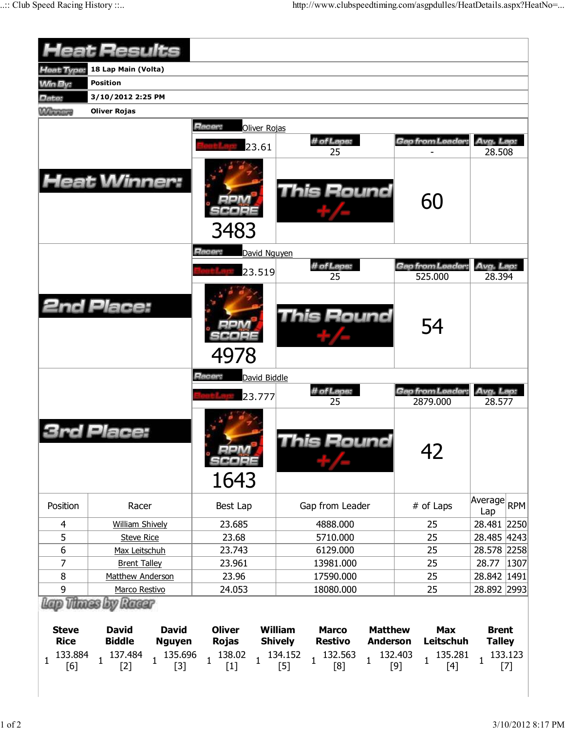|                                | <b>Heat Results</b>                                                                  |                                                 |                                                                                                         |                                                      |                                                                                                                                                                                                                                                                                                                                                                                                                                                                                                                                   |
|--------------------------------|--------------------------------------------------------------------------------------|-------------------------------------------------|---------------------------------------------------------------------------------------------------------|------------------------------------------------------|-----------------------------------------------------------------------------------------------------------------------------------------------------------------------------------------------------------------------------------------------------------------------------------------------------------------------------------------------------------------------------------------------------------------------------------------------------------------------------------------------------------------------------------|
| <b>Heat Type:</b>              | 18 Lap Main (Volta)                                                                  |                                                 |                                                                                                         |                                                      |                                                                                                                                                                                                                                                                                                                                                                                                                                                                                                                                   |
| <b>Min By:</b>                 | <b>Position</b>                                                                      |                                                 |                                                                                                         |                                                      |                                                                                                                                                                                                                                                                                                                                                                                                                                                                                                                                   |
| Date:                          | 3/10/2012 2:25 PM                                                                    |                                                 |                                                                                                         |                                                      |                                                                                                                                                                                                                                                                                                                                                                                                                                                                                                                                   |
| <b>MAINTENNIS</b>              | <b>Oliver Rojas</b>                                                                  |                                                 |                                                                                                         |                                                      |                                                                                                                                                                                                                                                                                                                                                                                                                                                                                                                                   |
|                                |                                                                                      | Racer:<br>Oliver Rojas                          |                                                                                                         |                                                      |                                                                                                                                                                                                                                                                                                                                                                                                                                                                                                                                   |
|                                |                                                                                      |                                                 | # of Laps:                                                                                              | Gap from Leader:                                     | Avg. Lap:                                                                                                                                                                                                                                                                                                                                                                                                                                                                                                                         |
|                                |                                                                                      | 23.61                                           | 25                                                                                                      |                                                      | 28.508                                                                                                                                                                                                                                                                                                                                                                                                                                                                                                                            |
|                                | <b>Heat Winner:</b>                                                                  | 3483                                            | <b>This Round</b>                                                                                       | 60                                                   |                                                                                                                                                                                                                                                                                                                                                                                                                                                                                                                                   |
|                                |                                                                                      | Racer:<br>David Nguyen                          |                                                                                                         |                                                      |                                                                                                                                                                                                                                                                                                                                                                                                                                                                                                                                   |
|                                |                                                                                      | 23.519                                          | # of Laps:                                                                                              | Gap from Leader.                                     | Avg. Lap:                                                                                                                                                                                                                                                                                                                                                                                                                                                                                                                         |
|                                |                                                                                      |                                                 | 25                                                                                                      | 525.000                                              | 28.394                                                                                                                                                                                                                                                                                                                                                                                                                                                                                                                            |
|                                | <b>2nd Place:</b>                                                                    | 4978                                            | This Round                                                                                              | 54                                                   |                                                                                                                                                                                                                                                                                                                                                                                                                                                                                                                                   |
|                                |                                                                                      | Racer:<br>David Biddle                          |                                                                                                         |                                                      |                                                                                                                                                                                                                                                                                                                                                                                                                                                                                                                                   |
|                                |                                                                                      | 23.777                                          | # of Laps:<br>25                                                                                        | Gap from Leader:<br>2879.000                         | Avg. Lap:<br>28.577                                                                                                                                                                                                                                                                                                                                                                                                                                                                                                               |
|                                | Place:                                                                               | 1643                                            | his Round                                                                                               | 42                                                   |                                                                                                                                                                                                                                                                                                                                                                                                                                                                                                                                   |
| Position                       | Racer                                                                                | Best Lap                                        | Gap from Leader                                                                                         | # of Laps                                            | Average RPM<br>Lap                                                                                                                                                                                                                                                                                                                                                                                                                                                                                                                |
| 4                              | <b>William Shively</b>                                                               | 23.685                                          | 4888.000                                                                                                | 25                                                   | 28.481 2250                                                                                                                                                                                                                                                                                                                                                                                                                                                                                                                       |
| 5                              | <b>Steve Rice</b>                                                                    | 23.68                                           | 5710.000                                                                                                | 25                                                   | 28.485 4243                                                                                                                                                                                                                                                                                                                                                                                                                                                                                                                       |
| 6                              | Max Leitschuh                                                                        | 23.743                                          | 6129.000                                                                                                | 25                                                   | 28.578 2258                                                                                                                                                                                                                                                                                                                                                                                                                                                                                                                       |
| 7                              | <b>Brent Talley</b>                                                                  | 23.961                                          | 13981.000                                                                                               | 25                                                   | 28.77<br> 1307                                                                                                                                                                                                                                                                                                                                                                                                                                                                                                                    |
| 8                              | Matthew Anderson                                                                     | 23.96                                           | 17590.000                                                                                               | 25                                                   | 28.842 1491                                                                                                                                                                                                                                                                                                                                                                                                                                                                                                                       |
| 9                              | Marco Restivo                                                                        | 24.053                                          | 18080.000                                                                                               | 25                                                   | 28.892 2993                                                                                                                                                                                                                                                                                                                                                                                                                                                                                                                       |
| <b>Steve</b><br><b>Rice</b>    | Lap Thues by Racer<br><b>David</b><br><b>David</b><br><b>Biddle</b><br><b>Nguyen</b> | <b>Oliver</b><br><b>Rojas</b>                   | <b>William</b><br><b>Matthew</b><br><b>Marco</b><br><b>Restivo</b><br><b>Shively</b><br><b>Anderson</b> | <b>Max</b><br><b>Leitschuh</b>                       | <b>Brent</b><br><b>Talley</b>                                                                                                                                                                                                                                                                                                                                                                                                                                                                                                     |
| 133.884<br>$\mathbf{1}$<br>[6] | 137.484<br>135.696<br>$\mathbf{1}$<br>$\mathbf{1}$<br>$[2]$<br>$[3]$                 | 138.02<br>$\mathbf{1}$<br>$\mathbf{1}$<br>$[1]$ | 134.152<br>132.563<br>$\mathbf{1}$<br>1<br>$[5]$<br>[8]                                                 | 132.403<br>135.281<br>$\mathbf{1}$<br>$[9]$<br>$[4]$ | 133.123<br>$\mathbf{1}$<br>$[7] \centering% \includegraphics[width=1\textwidth]{images/TransY.pdf} \caption{The first two different values of $d=3$ and $d=4$ (left) and $d=5$ (right) and $d=6$ (right) and $d=6$ (right) and $d=6$ (right) and $d=6$ (right) and $d=6$ (right) and $d=6$ (right) and $d=6$ (right) and $d=6$ (right) and $d=6$ (right) and $d=6$ (right) and $d=6$ (right) and $d=6$ (right) and $d=6$ (right) and $d=6$ (right) and $d=6$ (right) and $d=6$ (right) and $d=6$ (right) and $d=6$ (right) and $$ |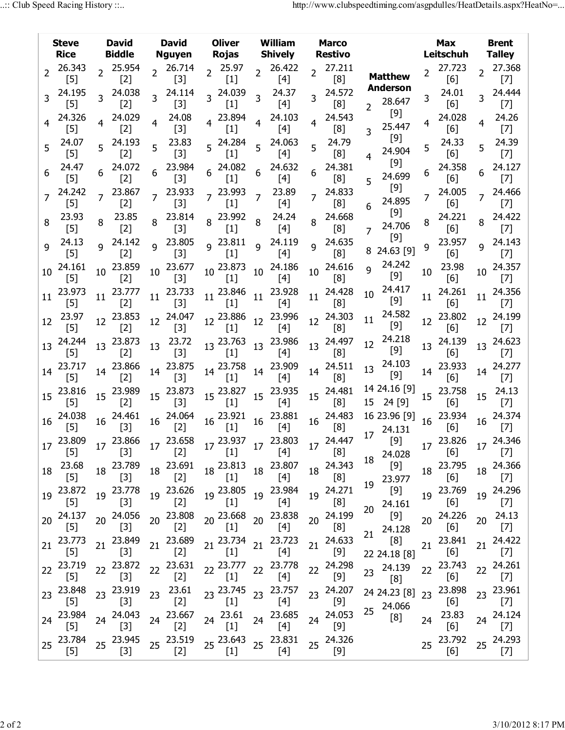|                 | <b>Steve</b><br><b>Rice</b>                                                                                                                                                                                                                                                                          |                  | <b>David</b><br><b>Biddle</b> |                  | <b>David</b><br><b>Nguyen</b> | <b>Oliver</b><br>Rojas                                                                                                                                                                                                                                                              |                  | William<br><b>Shively</b> |                  | <b>Marco</b><br><b>Restivo</b> |                |                                                                                                                      |    | Max<br>Leitschuh |                  | <b>Brent</b><br><b>Talley</b>                                                                                                                                                                                                                                                                               |
|-----------------|------------------------------------------------------------------------------------------------------------------------------------------------------------------------------------------------------------------------------------------------------------------------------------------------------|------------------|-------------------------------|------------------|-------------------------------|-------------------------------------------------------------------------------------------------------------------------------------------------------------------------------------------------------------------------------------------------------------------------------------|------------------|---------------------------|------------------|--------------------------------|----------------|----------------------------------------------------------------------------------------------------------------------|----|------------------|------------------|-------------------------------------------------------------------------------------------------------------------------------------------------------------------------------------------------------------------------------------------------------------------------------------------------------------|
| $\overline{2}$  | 26.343<br>$[5]$                                                                                                                                                                                                                                                                                      |                  | 2 25.954<br>$[2]$             |                  | 2 26.714<br>$[3]$             | $2^{25.97}$<br>$[1]$                                                                                                                                                                                                                                                                | $\overline{2}$   | 26.422<br>[4]             | $\overline{2}$   | 27.211<br>[8]                  |                | <b>Matthew</b>                                                                                                       |    | 27.723<br>[6]    | $\overline{2}$   | 27.368<br>$[7]$                                                                                                                                                                                                                                                                                             |
|                 | 24.195<br>$[5]$                                                                                                                                                                                                                                                                                      |                  | 24.038<br>$[2]$               |                  | 24.114<br>$[3]$               | 3 24.039<br>$[1]$                                                                                                                                                                                                                                                                   | 3                | 24.37<br>$[4]$            |                  | 24.572<br>[8]                  | $\overline{2}$ | <b>Anderson</b><br>28.647                                                                                            | 3. | 24.01<br>[6]     |                  | 24.444<br>$[7]$                                                                                                                                                                                                                                                                                             |
|                 | 24.326<br>$[5]$                                                                                                                                                                                                                                                                                      |                  | 24.029<br>$[2]$               | $\overline{4}$   | 24.08<br>$[3]$                | 4 23.894<br>$[1]$                                                                                                                                                                                                                                                                   | 4                | 24.103<br>[4]             | $\overline{4}$   | 24.543<br>[8]                  | 3              | $[9]$<br>25.447                                                                                                      |    | 24.028<br>[6]    | $\overline{4}$   | 24.26<br>$[7]$                                                                                                                                                                                                                                                                                              |
| 5               | 24.07<br>$[5]$                                                                                                                                                                                                                                                                                       |                  | 24.193<br>$[2]$               | 5                | 23.83<br>$[3]$                | 5 24.284<br>$[1]$                                                                                                                                                                                                                                                                   | 5 <sup>1</sup>   | 24.063<br>[4]             | 5                | 24.79<br>[8]                   |                | $[9]$<br>24.904                                                                                                      | 5  | 24.33<br>[6]     | 5 <sup>1</sup>   | 24.39<br>$[7]$                                                                                                                                                                                                                                                                                              |
|                 | 24.47<br>$[5]$                                                                                                                                                                                                                                                                                       |                  | 24.072<br>$[2]$               |                  | 23.984<br>$[3]$               | $6^{24.082}$<br>$[1]$                                                                                                                                                                                                                                                               |                  | 24.632<br>[4]             |                  | 24.381<br>[8]                  | 5              | $[9]$<br>24.699                                                                                                      |    | 24.358<br>[6]    | 6                | 24.127<br>$[7]$                                                                                                                                                                                                                                                                                             |
|                 | 24.242<br>$[5]$                                                                                                                                                                                                                                                                                      | 7                | 23.867<br>$[2]$               |                  | 23.933<br>$[3]$               | 7 23.993<br>$[1]$                                                                                                                                                                                                                                                                   | 7                | 23.89<br>$[4]$            | $\overline{7}$   | 24.833<br>[8]                  | 6              | $[9]$<br>24.895                                                                                                      | 7  | 24.005<br>[6]    |                  | 24.466<br>$[7]$                                                                                                                                                                                                                                                                                             |
| 8               | 23.93<br>$[5]$                                                                                                                                                                                                                                                                                       | 8                | 23.85<br>$[2]$                | 8                | 23.814<br>$[3]$               | 8 23.992<br>$[1]$                                                                                                                                                                                                                                                                   | 8                | 24.24<br>[4]              | 8                | 24.668<br>[8]                  | 7              | [9]<br>24.706                                                                                                        | 8  | 24.221<br>[6]    | 8                | 24.422<br>$[7]$                                                                                                                                                                                                                                                                                             |
| 9               | 24.13<br>$[5]$                                                                                                                                                                                                                                                                                       | q                | 24.142<br>$[2]$               | q                | 23.805<br>$[3]$               | $9^{23.811}$<br>$[1]$                                                                                                                                                                                                                                                               | $\overline{q}$   | 24.119<br>$[4]$           | q                | 24.635<br>[8]                  |                | [9]<br>8 24.63 [9]                                                                                                   | 9  | 23.957<br>[6]    | $\mathsf{q}$     | 24.143<br>$[7]$                                                                                                                                                                                                                                                                                             |
| 10              | 24.161<br>$[5]$                                                                                                                                                                                                                                                                                      | 10               | 23.859<br>$[2]$               | 10               | 23.677<br>$[3]$               | 10 23.873<br>$[1]$                                                                                                                                                                                                                                                                  | 10               | 24.186<br>[4]             | 10               | 24.616<br>[8]                  | Q              | 24.242<br>$[9]$                                                                                                      | 10 | 23.98<br>[6]     | 10 <sup>°</sup>  | 24.357<br>$[7]$                                                                                                                                                                                                                                                                                             |
| 11              | 23.973<br>$[5]$                                                                                                                                                                                                                                                                                      | 11               | 23.777<br>$[2]$               | 11               | 23.733<br>$[3]$               | $11^{23.846}$<br>$[1]$                                                                                                                                                                                                                                                              | 11               | 23.928<br>$[4]$           | 11               | 24.428<br>[8]                  | 10             | 24.417<br>$[9]$                                                                                                      | 11 | 24.261<br>[6]    | 11               | 24.356<br>$[7]$                                                                                                                                                                                                                                                                                             |
| 12 <sup>2</sup> | 23.97<br>$[5]$                                                                                                                                                                                                                                                                                       | 12 <sup>12</sup> | 23.853<br>$[2]$               | 12 <sup>12</sup> | 24.047<br>$[3]$               | 12 23.886<br>$[1]$                                                                                                                                                                                                                                                                  | 12               | 23.996<br>[4]             | 12 <sup>12</sup> | 24.303<br>[8]                  | 11             | 24.582<br>$[9]$                                                                                                      | 12 | 23.802<br>[6]    | 12 <sup>12</sup> | 24.199<br>$[7]$                                                                                                                                                                                                                                                                                             |
| 13              | 24.244<br>$[5]$                                                                                                                                                                                                                                                                                      | 13 <sup>7</sup>  | 23.873<br>$[2]$               | 13               | 23.72<br>$[3]$                | 13 23.763<br>$[1]$                                                                                                                                                                                                                                                                  | 13 <sup>13</sup> | 23.986<br>[4]             |                  | 13 24.497<br>[8]               | 12             | 24.218<br>[9]                                                                                                        | 13 | 24.139<br>[6]    | 13 <sup>13</sup> | 24.623<br>$[7]$                                                                                                                                                                                                                                                                                             |
| 14              | 23.717<br>$[5]$                                                                                                                                                                                                                                                                                      | 14               | 23.866<br>$[2]$               |                  | 14 23.875<br>$[3]$            | 14 23.758<br>$[1]$                                                                                                                                                                                                                                                                  | 14               | 23.909<br>[4]             | 14               | 24.511<br>[8]                  | 13             | 24.103<br>$[9]$                                                                                                      | 14 | 23.933<br>[6]    | 14               | 24.277<br>$[7]$                                                                                                                                                                                                                                                                                             |
|                 | 15 23.816<br>$[5]$                                                                                                                                                                                                                                                                                   |                  | 15 23.989<br>$[2]$            |                  | 15 23.873<br>$[3]$            | 15 23.827<br>$[1]$                                                                                                                                                                                                                                                                  |                  | 15 23.935<br>$[4]$        |                  | 15 24.481<br>[8]               |                | 14 24.16 [9]<br>15 24 [9]                                                                                            | 15 | 23.758<br>[6]    | 15               | 24.13<br>$[7]$                                                                                                                                                                                                                                                                                              |
|                 | 16 24.038<br>$[5]$                                                                                                                                                                                                                                                                                   | 16 <sup>1</sup>  | 24.461<br>$[3]$               |                  | 16 24.064<br>$[2]$            | $16\frac{23.921}{5}$<br>$[1]$                                                                                                                                                                                                                                                       |                  | 16 23.881<br>[4]          |                  | 16 24.483<br>[8]               |                | 16 23.96 [9]<br>17 24.131                                                                                            |    | 16 23.934<br>[6] | 16               | 24.374<br>$[7]$                                                                                                                                                                                                                                                                                             |
| 17              | 23.809<br>$[5] % \begin{center} \includegraphics[width=\linewidth]{imagesSupplemental/Imetad2} \end{center} % \vspace*{-1em} \caption{The image shows the number of parameters of the parameter $\{1,2,3,4,\ldots\}$, and the number of parameters $\{1,3,4,\ldots\}$, respectively.} \label{fig:3}$ |                  |                               |                  |                               | $17 \quad \begin{array}{ccc} 23.866 & 17 & 23.658 \\ \begin{bmatrix} 3 \end{bmatrix} & 17 & \begin{bmatrix} 23.658 & 17 & 23.937 \\ \begin{bmatrix} 2 \end{bmatrix} & 17 & \begin{bmatrix} 21 & 17 & 23.803 \\ \begin{bmatrix} 4 \end{bmatrix} & 17 & 17 \end{bmatrix} \end{array}$ |                  |                           | 17               | 24.447<br>$[8]$                | 18             | $\begin{bmatrix} 9 \\ 24.028 \end{bmatrix} \quad \begin{array}{ccc} 23.826 & 17 & 24.346 \\ 50 & 17 & 7 \end{array}$ |    |                  |                  |                                                                                                                                                                                                                                                                                                             |
| 18              | 23.68<br>$[5]$                                                                                                                                                                                                                                                                                       | 18               | 23.789<br>$[3]$               |                  | 18 23.691<br>$[2]$            | 18 23.813<br>$[1]$                                                                                                                                                                                                                                                                  | 18               | 23.807<br>[4]             |                  | 18 24.343<br>[8]               | 19             | $[9]$<br>23.977                                                                                                      | 18 | 23.795<br>[6]    |                  | 18 24.366<br>$[7]$                                                                                                                                                                                                                                                                                          |
| 19              | 23.872<br>$[5]$                                                                                                                                                                                                                                                                                      | 19               | 23.778<br>$[3]$               |                  | 19 23.626<br>$[2]$            | 19 23.805<br>$[1]$                                                                                                                                                                                                                                                                  | 19 <sup>°</sup>  | 23.984<br>$[4]$           | 19               | 24.271<br>[8]                  | 20             | $[9]$<br>24.161                                                                                                      | 19 | 23.769<br>[6]    | 19               | 24.296<br>$[7]$                                                                                                                                                                                                                                                                                             |
|                 | 20 24.137<br>$[5]$                                                                                                                                                                                                                                                                                   | 20 <sub>2</sub>  | 24.056<br>$[3]$               |                  | 20 23.808<br>$[2]$            | 20 23.668                                                                                                                                                                                                                                                                           | 20               | 23.838<br>[4]             | 20               | 24.199<br>[8]                  | 21             | 24.128                                                                                                               | 20 | 24.226<br>[6]    | 20               | 24.13<br>$[7]$                                                                                                                                                                                                                                                                                              |
| 21              | 23.773<br>$[5]$                                                                                                                                                                                                                                                                                      | 21               | 23.849<br>$[3]$               | 21               | 23.689<br>$[2]$               | 21 23.734<br>$[1]$                                                                                                                                                                                                                                                                  | 21               | 23.723<br>$[4]$           | 21               | 24.633<br>$[9]$                |                | $[8]$<br>22 24.18 [8]                                                                                                | 21 | 23.841<br>[6]    | 21               | 24.422<br>$[7]$                                                                                                                                                                                                                                                                                             |
| 22              | 23.719<br>$[5]$                                                                                                                                                                                                                                                                                      | 22               | 23.872<br>$[3]$               | 22               | 23.631<br>$[2]$               | 22 23.777<br>$[1]$                                                                                                                                                                                                                                                                  | 22               | 23.778<br>$[4]$           | 22               | 24.298<br>$[9]$                | 23             | 24.139<br>[8]                                                                                                        | 22 | 23.743<br>[6]    | 22               | 24.261<br>$[7]$                                                                                                                                                                                                                                                                                             |
| 23 <sup>2</sup> | 23.848<br>$[5]$                                                                                                                                                                                                                                                                                      | 23 <sup>°</sup>  | 23.919<br>$[3]$               | 23 <sup>°</sup>  | 23.61<br>$[2]$                | 23 23.745<br>$[1]$                                                                                                                                                                                                                                                                  | 23 <sup>°</sup>  | 23.757<br>$[4]$           |                  | 23 24.207<br>$[9]$             |                | 24 24.23 [8]<br>24.066                                                                                               | 23 | 23.898<br>[6]    | 23 <sup>2</sup>  | 23.961<br>$[7]$                                                                                                                                                                                                                                                                                             |
| 24              | 23.984<br>$[5] % \includegraphics[width=0.9\columnwidth]{figures/fig_10.pdf} \caption{The figure shows the number of times, and the number of times, and the number of times, respectively.} \label{fig:fig:time}$                                                                                   | 24               | 24.043<br>$[3]$               |                  | 24 23.667<br>$[2]$            | $24^{23.61}$<br>$[1]$                                                                                                                                                                                                                                                               | 24               | 23.685<br>[4]             | 24               | 24.053<br>[9]                  | 25             | [8]                                                                                                                  | 24 | 23.83<br>[6]     |                  | 24 24 124<br>$[7] \centering% \includegraphics[width=1.0\textwidth]{images/TrDiC-Architecture.png} \caption{The 3D (top) and the 4D (bottom) of the 3D (bottom) and the 4D (bottom) of the 3D (bottom) and the 4D (bottom) of the 3D (bottom). The 3D (bottom) is 3D (bottom).} \label{TrDiC-Architecture}$ |
| 25              | 23.784<br>$[5]$                                                                                                                                                                                                                                                                                      |                  | 25 23.945<br>$[3]$            |                  | 25 23.519<br>$[2]$            | 25 23.643<br>$[1]$                                                                                                                                                                                                                                                                  |                  | 25 23.831<br>$[4]$        |                  | 25 24.326<br>$[9]$             |                |                                                                                                                      | 25 | 23.792<br>[6]    |                  | 25 24.293<br>$[7]$                                                                                                                                                                                                                                                                                          |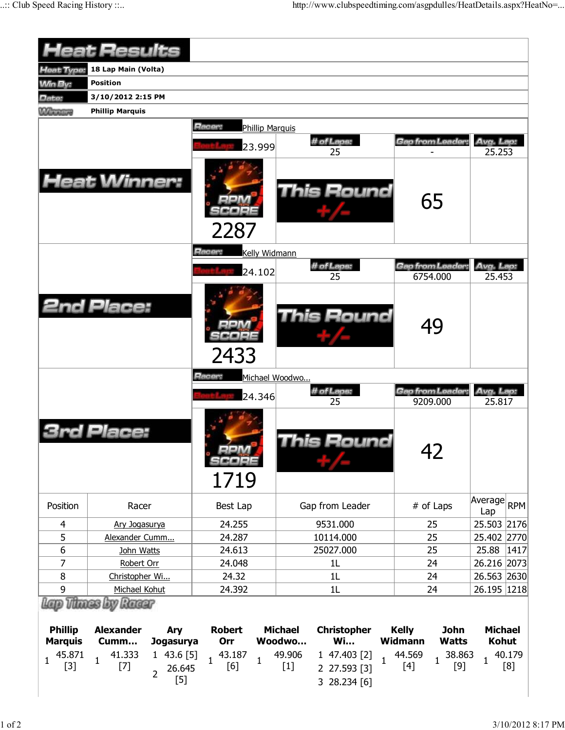|                                                                     | <b>Heat Results</b>                                                                                                                     |                                                            |                                                                                                                                                |                                                                                                                     |                                                                 |  |  |
|---------------------------------------------------------------------|-----------------------------------------------------------------------------------------------------------------------------------------|------------------------------------------------------------|------------------------------------------------------------------------------------------------------------------------------------------------|---------------------------------------------------------------------------------------------------------------------|-----------------------------------------------------------------|--|--|
| <b>Heat Type:</b>                                                   | 18 Lap Main (Volta)                                                                                                                     |                                                            |                                                                                                                                                |                                                                                                                     |                                                                 |  |  |
| <b>Win By:</b>                                                      | <b>Position</b>                                                                                                                         |                                                            |                                                                                                                                                |                                                                                                                     |                                                                 |  |  |
| Date:                                                               | 3/10/2012 2:15 PM                                                                                                                       |                                                            |                                                                                                                                                |                                                                                                                     |                                                                 |  |  |
| <b>Winnipeg</b>                                                     | <b>Phillip Marquis</b>                                                                                                                  |                                                            |                                                                                                                                                |                                                                                                                     |                                                                 |  |  |
|                                                                     |                                                                                                                                         | <b>Hacer:</b><br><b>Phillip Marquis</b>                    |                                                                                                                                                |                                                                                                                     |                                                                 |  |  |
|                                                                     |                                                                                                                                         |                                                            | # of Laps:                                                                                                                                     | Gap from Leader                                                                                                     | Avg. Lap:                                                       |  |  |
|                                                                     |                                                                                                                                         | 23.999                                                     | 25                                                                                                                                             |                                                                                                                     | 25.253                                                          |  |  |
|                                                                     | <b>Heat Winner:</b>                                                                                                                     | 2287                                                       | This Round                                                                                                                                     | 65                                                                                                                  |                                                                 |  |  |
|                                                                     |                                                                                                                                         | Racer:<br>Kelly Widmann                                    |                                                                                                                                                |                                                                                                                     |                                                                 |  |  |
|                                                                     |                                                                                                                                         | 24.102                                                     | # of Laps:                                                                                                                                     | Gap from Leader                                                                                                     | Avg. Lap:                                                       |  |  |
|                                                                     |                                                                                                                                         |                                                            | 25                                                                                                                                             | 6754.000                                                                                                            | 25.453                                                          |  |  |
|                                                                     | <b>2nd Place:</b>                                                                                                                       | 2433                                                       | This Round                                                                                                                                     | 49                                                                                                                  |                                                                 |  |  |
|                                                                     |                                                                                                                                         | Racer:<br>Michael Woodwo                                   |                                                                                                                                                |                                                                                                                     |                                                                 |  |  |
|                                                                     |                                                                                                                                         | 24.346                                                     | # of Laps:<br>25                                                                                                                               | Gap from Leader:<br>9209.000                                                                                        | Avg. Lap:<br>25.817                                             |  |  |
|                                                                     | d Place:                                                                                                                                | SCOPE<br>1719                                              | his Round                                                                                                                                      | 42                                                                                                                  |                                                                 |  |  |
| Position                                                            | Racer                                                                                                                                   | Best Lap                                                   | Gap from Leader                                                                                                                                | # of Laps                                                                                                           | Average RPM<br>Lap                                              |  |  |
| 4                                                                   | Ary Jogasurya                                                                                                                           | 24.255                                                     | 9531.000                                                                                                                                       | 25                                                                                                                  | 25.503 2176                                                     |  |  |
| 5                                                                   | Alexander Cumm                                                                                                                          | 24.287                                                     | 10114.000                                                                                                                                      | 25                                                                                                                  | 25.402 2770                                                     |  |  |
| 6                                                                   | John Watts                                                                                                                              | 24.613                                                     | 25027.000                                                                                                                                      | 25                                                                                                                  | 25.88<br> 1417                                                  |  |  |
| 7                                                                   | Robert Orr                                                                                                                              | 24.048                                                     | 1 <sub>L</sub>                                                                                                                                 | 24                                                                                                                  | 26.216 2073                                                     |  |  |
| 8                                                                   | Christopher Wi                                                                                                                          | 24.32                                                      | 1L                                                                                                                                             | 24                                                                                                                  | 26.563 2630                                                     |  |  |
| 9                                                                   | Michael Kohut<br>Lano Thunes by Ranner                                                                                                  | 24.392                                                     | 1L                                                                                                                                             | 24                                                                                                                  | 26.195   1218                                                   |  |  |
| <b>Phillip</b><br><b>Marquis</b><br>45.871<br>$\mathbf{1}$<br>$[3]$ | <b>Alexander</b><br>Ary<br>Cumm<br><b>Jogasurya</b><br>41.333<br>143.6[5]<br>$\mathbf{1}$<br>$[7]$<br>26.645<br>$\overline{2}$<br>$[5]$ | <b>Robert</b><br>Orr<br>43.187<br>$\mathbf{1}$<br>1<br>[6] | <b>Michael</b><br><b>Christopher</b><br>Woodwo<br><b>Wi</b><br>49.906<br>1 47.403 [2]<br>$\mathbf{1}$<br>$[1]$<br>2 27.593 [3]<br>3 28.234 [6] | <b>Kelly</b><br><b>John</b><br><b>Widmann</b><br><b>Watts</b><br>44.569<br>38.863<br>$\mathbf{1}$<br>$[9]$<br>$[4]$ | <b>Michael</b><br><b>Kohut</b><br>40.179<br>$\mathbf{1}$<br>[8] |  |  |